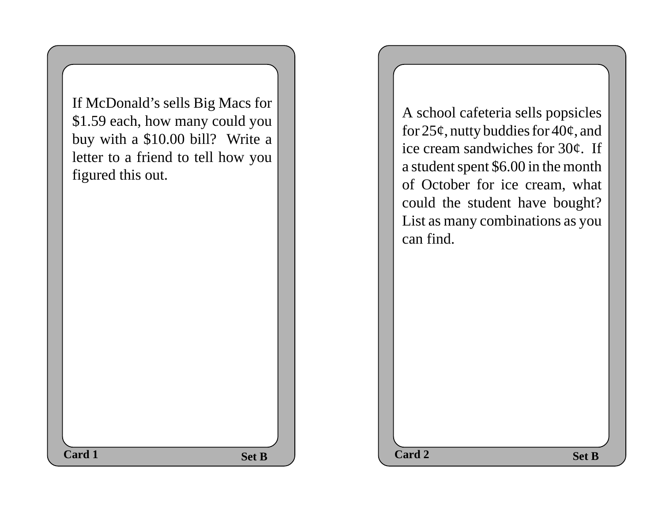If McDonald's sells Big Macs for \$1.59 each, how many could you buy with a \$10.00 bill? Write a letter to a friend to tell how you figured this out.

A school cafeteria sells popsicles for  $25¢$ , nutty buddies for  $40¢$ , and ice cream sandwiches for 30¢. If a student spent \$6.00 in the month of October for ice cream, what could the student have bought? List as many combinations as you can find.

**Card 1 Card 2 Card 2 Card 2** 

Set B  $\qquad$  ard 2 Set B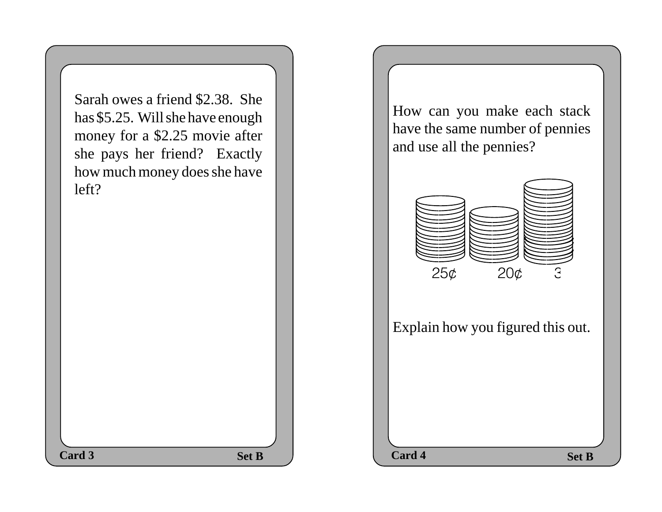Set B  $\qquad$  Card 4 Set B Sarah owes a friend \$2.38. She has \$5.25. Will she have enough money for a \$2.25 movie after she pays her friend? Exactly how much money does she have left? Card 3 Set B  $\qquad$  Card 4

How can you make each stack have the same number of pennies and use all the pennies?



Explain how you figured this out.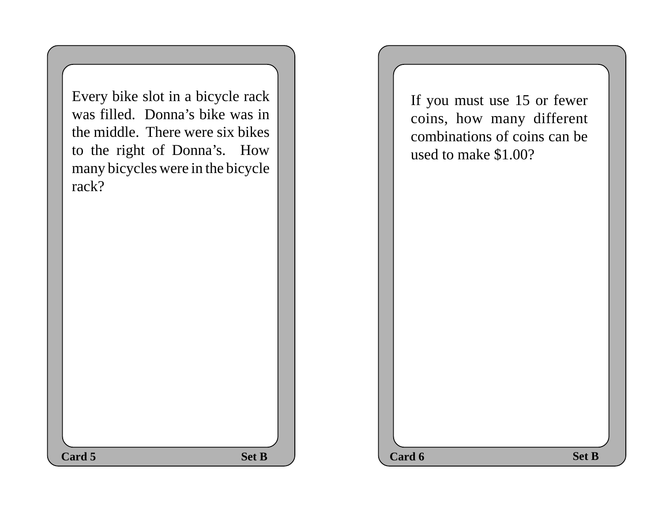| Every bike slot in a bicycle rack<br>was filled. Donna's bike was in<br>the middle. There were six bikes<br>to the right of Donna's. How<br>many bicycles were in the bicycle<br>rack? |
|----------------------------------------------------------------------------------------------------------------------------------------------------------------------------------------|
|                                                                                                                                                                                        |

If you must use 15 or fewer coins, how many different combinations of coins can be used to make \$1.00?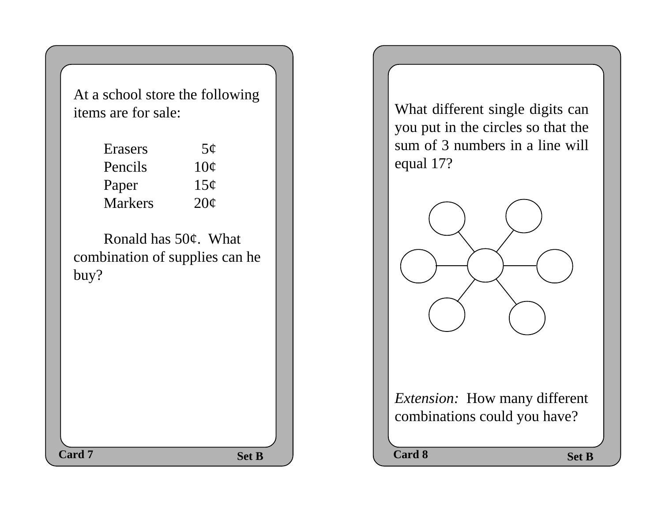At a school store the following items are for sale:

| Erasers        | $5\phi$         |
|----------------|-----------------|
| Pencils        | $10\sigma$      |
| Paper          | 15 <sub>c</sub> |
| <b>Markers</b> | $20\sigma$      |

Ronald has 50¢. What combination of supplies can he buy?

What different single digits can you put in the circles so that the sum of 3 numbers in a line will equal 17?



*Extension:* How many different combinations could you have?

**Card 7** Set B R Card 8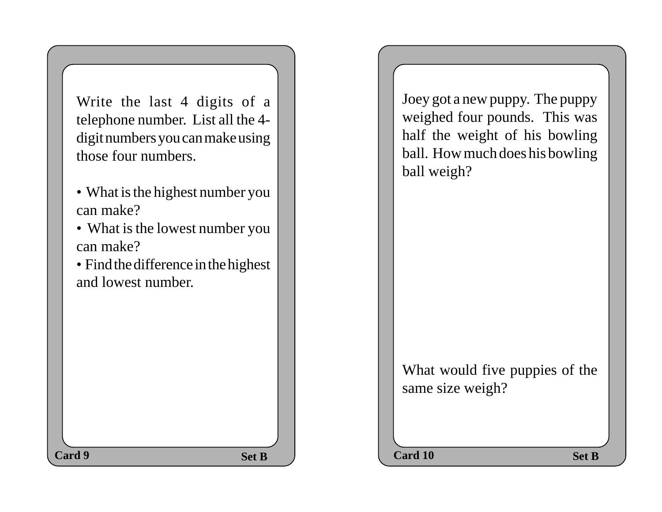Write the last 4 digits of a telephone number. List all the 4 digit numbers you can make using those four numbers.

- What is the highest number you can make?
- What is the lowest number you can make?

• Find the difference in the highest and lowest number.

Joey got a new puppy. The puppy weighed four pounds. This was half the weight of his bowling ball. How much does his bowling ball weigh?

What would five puppies of the same size weigh?

**Set B**  $\qquad$  **Card 10 Set B Card 9 Card 10 Card 10 Card 10**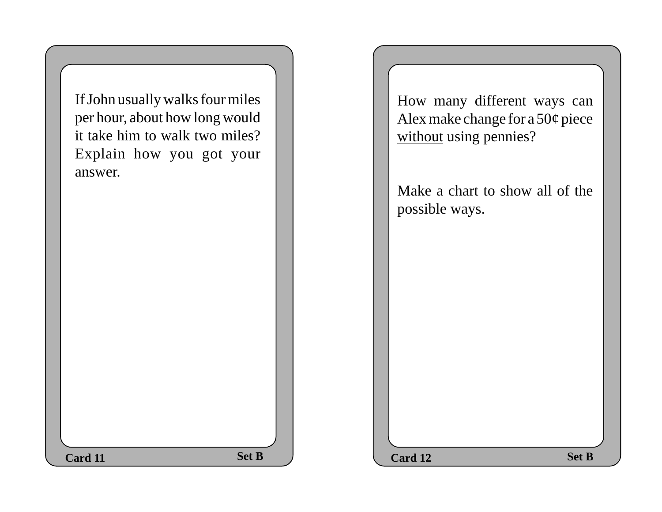$Set B$  **Set B**  $Set B$ If John usually walks four miles per hour, about how long would it take him to walk two miles? Explain how you got your answer. **Card 11** Set B 2 Card 12

How many different ways can Alex make change for a 50¢ piece without using pennies?

Make a chart to show all of the possible ways.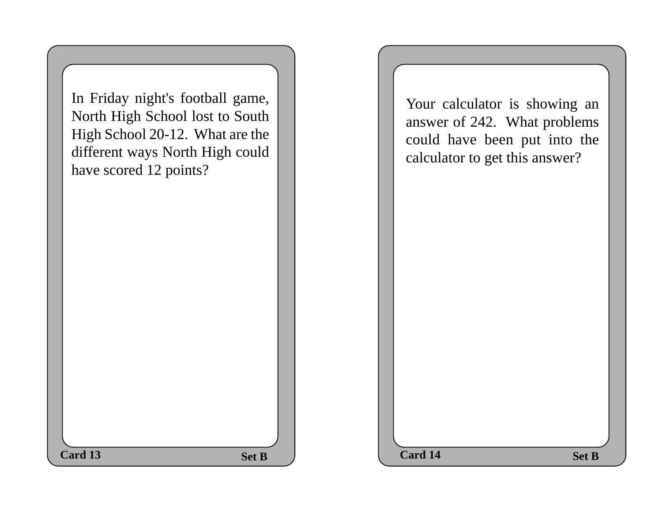| Card 13 |                                                                                                                                                                     | <b>Set B</b> |  | Card 14                                                                                                                         | <b>Set B</b> |
|---------|---------------------------------------------------------------------------------------------------------------------------------------------------------------------|--------------|--|---------------------------------------------------------------------------------------------------------------------------------|--------------|
|         | In Friday night's football game,<br>North High School lost to South<br>High School 20-12. What are the<br>different ways North High could<br>have scored 12 points? |              |  | Your calculator is showing an<br>answer of 242. What problems<br>could have been put into the<br>calculator to get this answer? |              |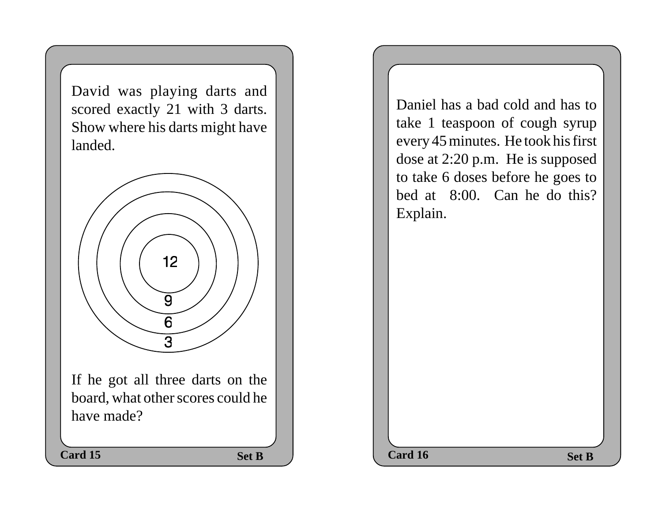David was playing darts and scored exactly 21 with 3 darts. Show where his darts might have landed.



Daniel has a bad cold and has to take 1 teaspoon of cough syrup every 45 minutes. He took his first dose at 2:20 p.m. He is supposed to take 6 doses before he goes to bed at 8:00. Can he do this? Explain.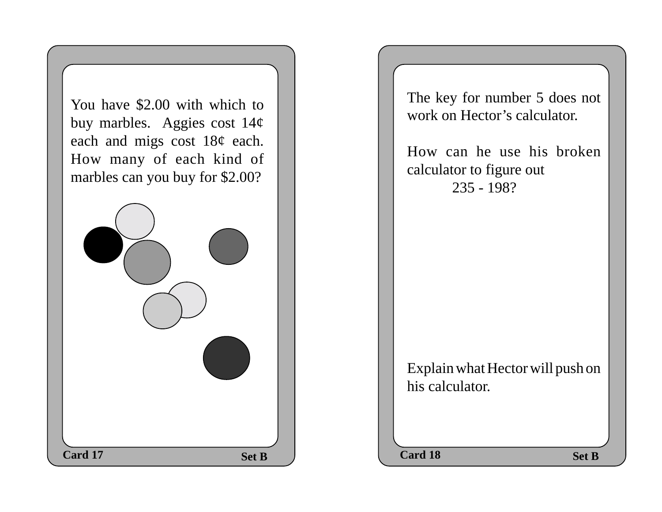**Set B**  $\qquad$  **Card 18 Set B** You have \$2.00 with which to buy marbles. Aggies cost 14¢ each and migs cost 18¢ each. How many of each kind of marbles can you buy for \$2.00? **Card 17** Set B  $\qquad$  Card 18

The key for number 5 does not work on Hector's calculator.

How can he use his broken calculator to figure out 235 - 198?

Explain what Hector will push on his calculator.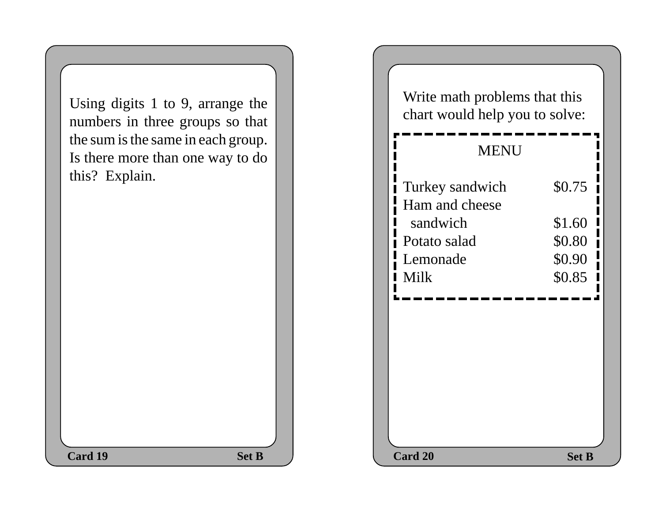Using digits 1 to 9, arrange the numbers in three groups so that the sum is the same in each group. Is there more than one way to do this? Explain. **Card 19** Set B

| e the<br>b that |  | Write math problems that this<br>chart would help you to solve: |                  |
|-----------------|--|-----------------------------------------------------------------|------------------|
| roup.<br>to do  |  | <b>MENU</b>                                                     |                  |
|                 |  | Turkey sandwich<br>Ham and cheese<br>sandwich                   | \$0.75<br>\$1.60 |
|                 |  | Potato salad                                                    | \$0.80           |
|                 |  | Lemonade                                                        | \$0.90           |
|                 |  | <b>Milk</b>                                                     | \$0.85           |
|                 |  |                                                                 |                  |
| <b>Set B</b>    |  | Card 20                                                         | <b>Set B</b>     |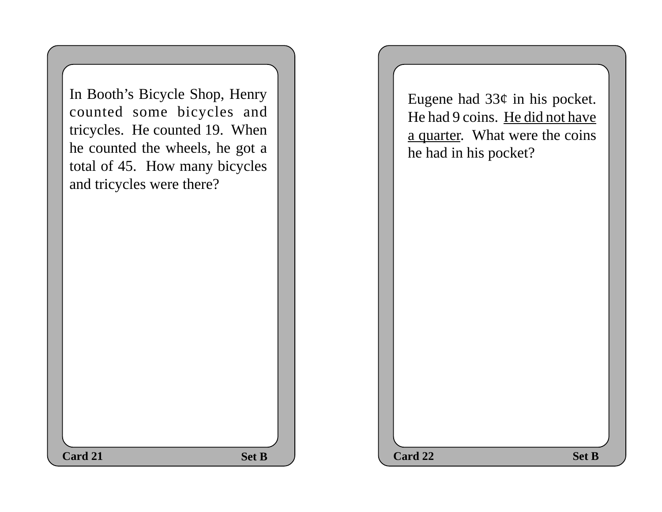In Booth's Bicycle Shop, Henry counted some bicycles and tricycles. He counted 19. When he counted the wheels, he got a total of 45. How many bicycles and tricycles were there?

Eugene had  $33¢$  in his pocket. He had 9 coins. He did not have a quarter. What were the coins he had in his pocket?

| <b>Card 21</b> | <b>Set B</b> | Card 22 |
|----------------|--------------|---------|
|----------------|--------------|---------|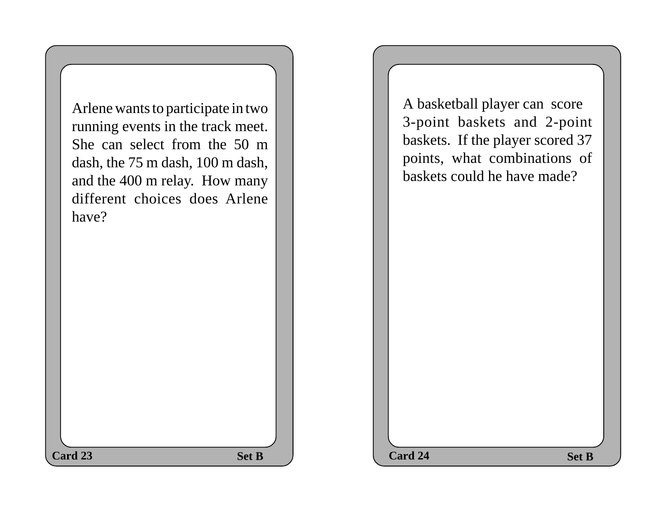**Set B Set B Set B** Arlene wants to participate in two running events in the track meet. She can select from the 50 m dash, the 75 m dash, 100 m dash, and the 400 m relay. How many different choices does Arlene have? **Card 23** Set B  $\qquad$  Card 24

A basketball player can score 3-point baskets and 2-point baskets. If the player scored 37 points, what combinations of baskets could he have made?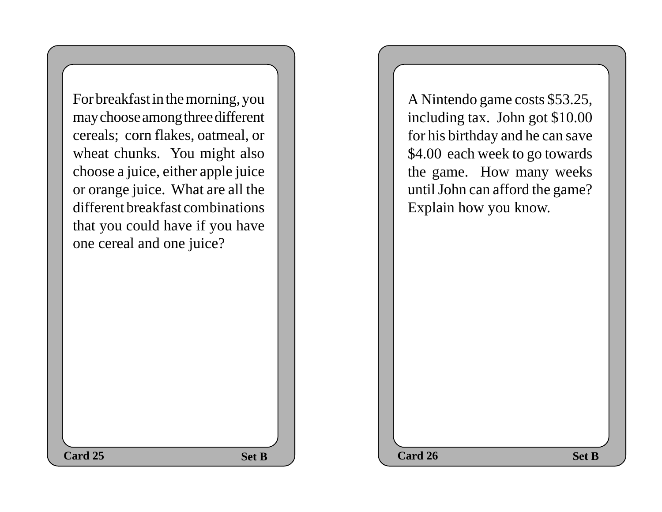For breakfast in the morning, you may choose among three different cereals; corn flakes, oatmeal, or wheat chunks. You might also choose a juice, either apple juice or orange juice. What are all the different breakfast combinations that you could have if you have one cereal and one juice?

A Nintendo game costs \$53.25, including tax. John got \$10.00 for his birthday and he can save \$4.00 each week to go towards the game. How many weeks until John can afford the game? Explain how you know.

**Set B**  $\qquad$  **Card 26 Set B Card 25** Set B  $\qquad$  Card 26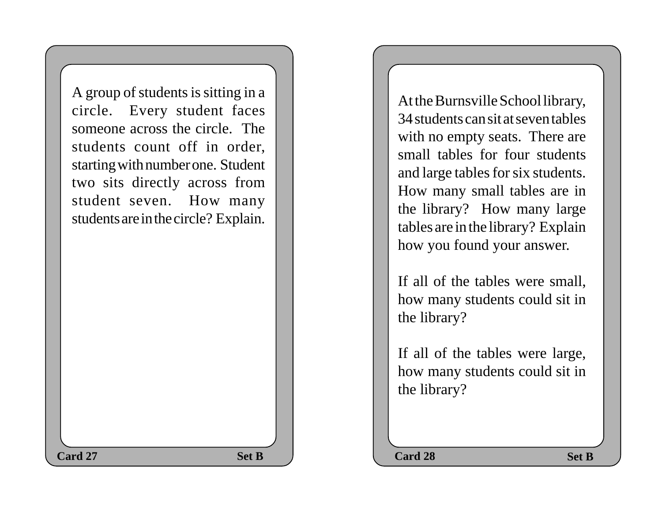A group of students is sitting in a circle. Every student faces someone across the circle. The students count off in order, starting with number one. Student two sits directly across from student seven. How many students are in the circle? Explain.

At the Burnsville School library, 34 students can sit at seven tables with no empty seats. There are small tables for four students and large tables for six students. How many small tables are in the library? How many large tables are in the library? Explain how you found your answer.

If all of the tables were small, how many students could sit in the library?

If all of the tables were large, how many students could sit in the library?

Set B  $\qquad$  Card 28 Set B **Card 27** Set B  $\qquad$  Card 28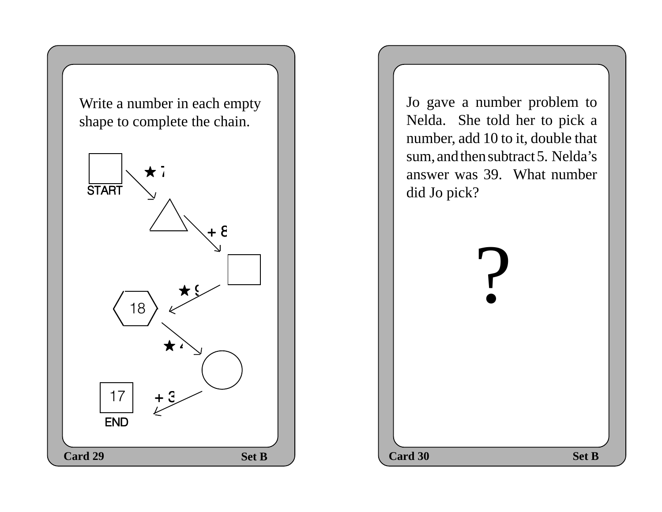Write a number in each empty shape to complete the chain.



Jo gave a number problem to Nelda. She told her to pick a number, add 10 to it, double that sum, and then subtract 5. Nelda's answer was 39. What number did Jo pick?

?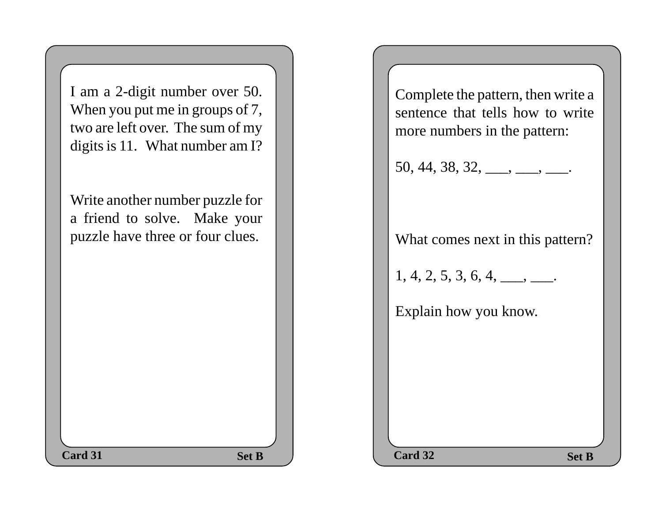| I am a 2-digit number over 50.<br>When you put me in groups of 7,<br>two are left over. The sum of my<br>digits is 11. What number am I? |  | Complete the pattern, then write a<br>sentence that tells how to write<br>more numbers in the pattern:<br>$50, 44, 38, 32, \underline{\hspace{1cm}}, \underline{\hspace{1cm}}, \underline{\hspace{1cm}}.$ |
|------------------------------------------------------------------------------------------------------------------------------------------|--|-----------------------------------------------------------------------------------------------------------------------------------------------------------------------------------------------------------|
| Write another number puzzle for<br>a friend to solve. Make your<br>puzzle have three or four clues.                                      |  | What comes next in this pattern?<br>$1, 4, 2, 5, 3, 6, 4, \underline{\qquad \qquad}.$<br>Explain how you know.                                                                                            |
| Card 31<br><b>Set B</b>                                                                                                                  |  | Card 32<br><b>Set B</b>                                                                                                                                                                                   |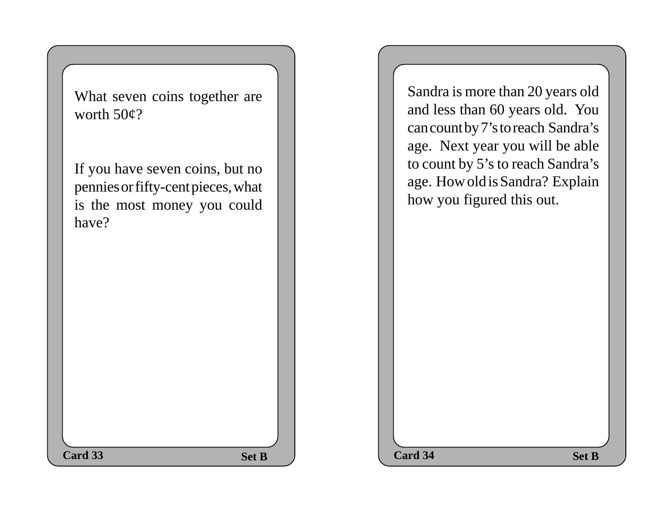What seven coins together are worth 50¢?

If you have seven coins, but no pennies or fifty-cent pieces, what is the most money you could have?

Sandra is more than 20 years old and less than 60 years old. You can count by 7's to reach Sandra's age. Next year you will be able to count by 5's to reach Sandra's age. How old is Sandra? Explain how you figured this out.

| Card 33 | <b>Set B</b> | Card 34 | <b>Set B</b> |
|---------|--------------|---------|--------------|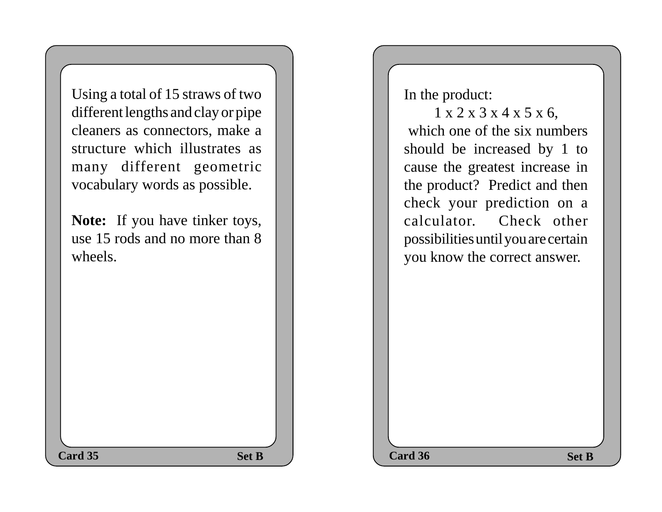Using a total of 15 straws of two different lengths and clay or pipe cleaners as connectors, make a structure which illustrates as many different geometric vocabulary words as possible.

Note: If you have tinker toys, use 15 rods and no more than 8 wheels.

In the product:

 1 x 2 x 3 x 4 x 5 x 6, which one of the six numbers should be increased by 1 to cause the greatest increase in the product? Predict and then check your prediction on a calculator. Check other possibilities until you are certain you know the correct answer.

**Set B Set B Set B Card 35** Set B  $\qquad$  Card 36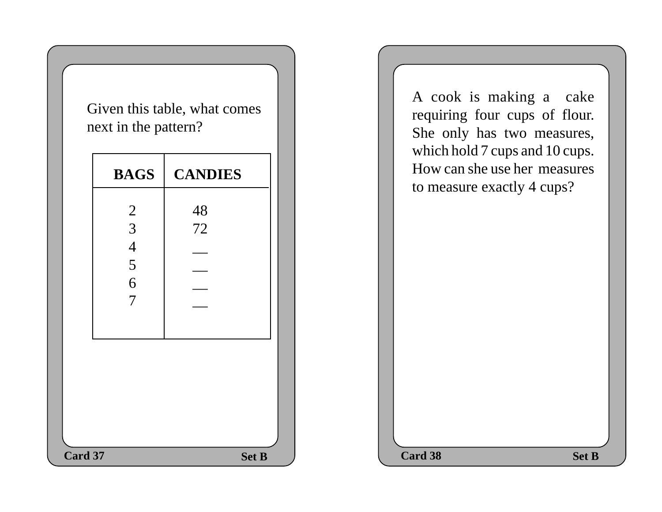Given this table, what comes next in the pattern?

|         | <b>BAGS</b>                           | <b>CANDIES</b> |  | which note $\ell$ caps and To caps.<br>How can she use her measures<br>to measure exactly 4 cups? |              |
|---------|---------------------------------------|----------------|--|---------------------------------------------------------------------------------------------------|--------------|
|         | $\overline{2}$<br>3<br>$\overline{4}$ | 48<br>72       |  |                                                                                                   |              |
|         | 5<br>6<br>$\overline{7}$              |                |  |                                                                                                   |              |
|         |                                       |                |  |                                                                                                   |              |
| Card 37 |                                       | <b>Set B</b>   |  | Card 38                                                                                           | <b>Set B</b> |

A cook is making a cake requiring four cups of flour. She only has two measures, which hold 7 cups and 10 cups. How can she use her measures to measure exactly 4 cups?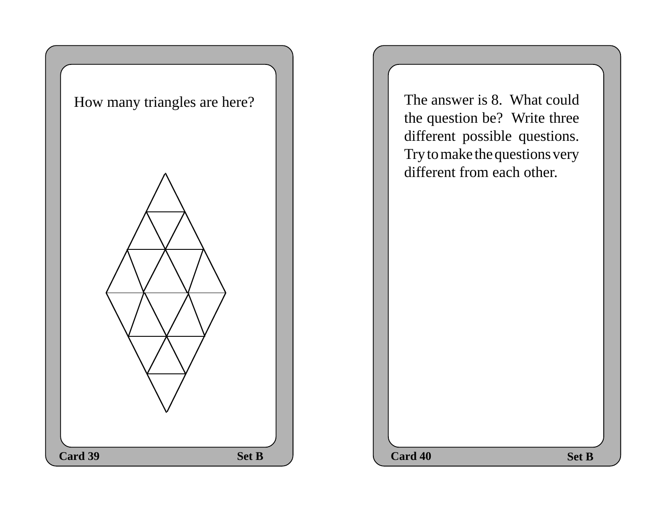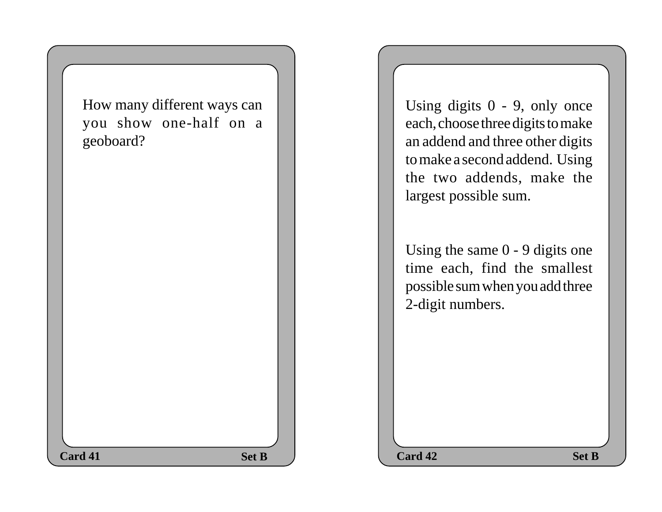How many different ways can you show one-half on a geoboard?

Using digits 0 - 9, only once each, choose three digits to make an addend and three other digits to make a second addend. Using the two addends, make the largest possible sum.

Using the same 0 - 9 digits one time each, find the smallest possible sum when you add three 2-digit numbers.

**Set B**  $\qquad$  **Card 42 Set B card 41** Set B Card 42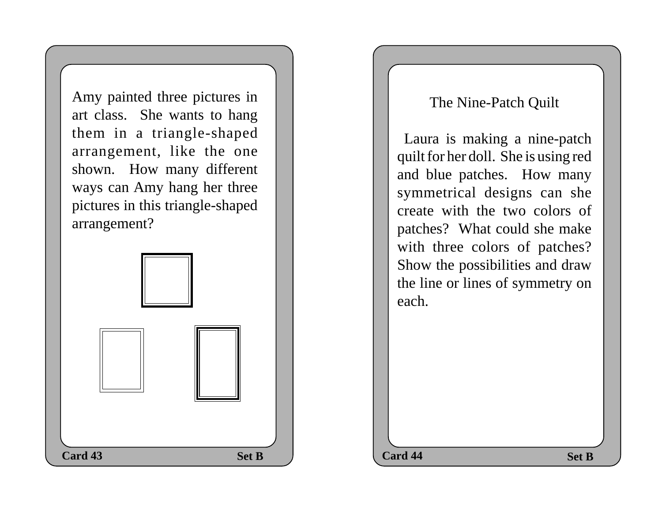Amy painted three pictures in art class. She wants to hang them in a triangle-shaped arrangement, like the one shown. How many different ways can Amy hang her three pictures in this triangle-shaped arrangement?

## **Set B Set B Set B Card 43** Set B  $\bigcup$  Card 44

## The Nine-Patch Quilt

 Laura is making a nine-patch quilt for her doll. She is using red and blue patches. How many symmetrical designs can she create with the two colors of patches? What could she make with three colors of patches? Show the possibilities and draw the line or lines of symmetry on each.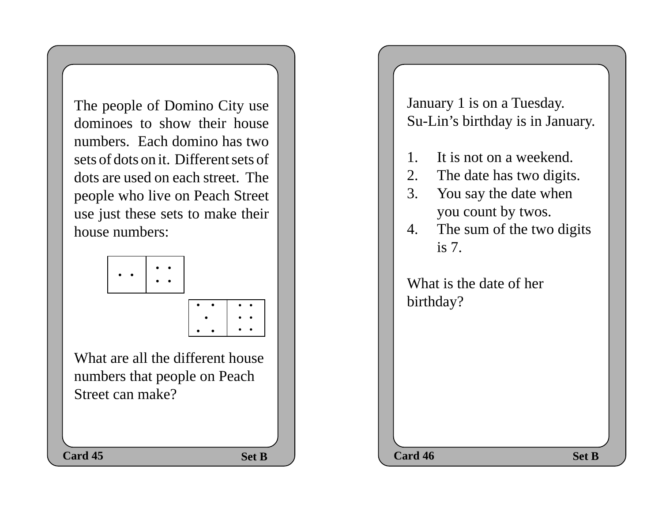The people of Domino City use dominoes to show their house numbers. Each domino has two sets of dots on it. Different sets of dots are used on each street. The people who live on Peach Street use just these sets to make their house numbers:



• • • •

• •

• • • • • • • • • • • January 1 is on a Tuesday. Su-Lin's birthday is in January.

- 1. It is not on a weekend.
- 2. The date has two digits.
- 3. You say the date when you count by twos.
- 4. The sum of the two digits is 7.

What is the date of her birthday?

**Set B**  $\qquad$  **Card 46** Set B **card 45** Set B Card 46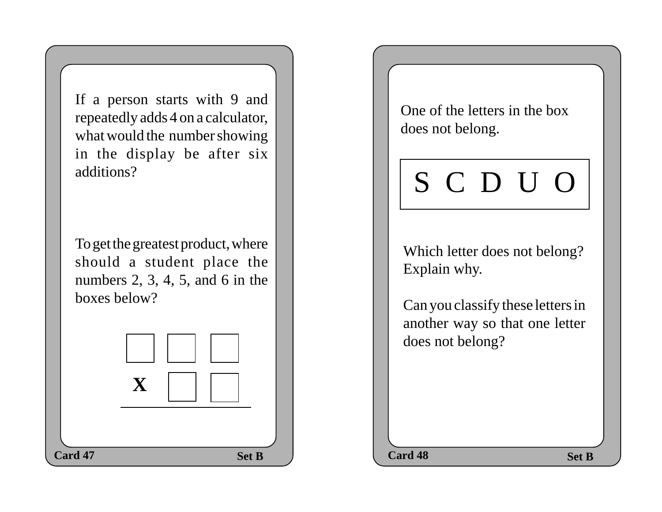If a person starts with 9 and repeatedly adds 4 on a calculator, what would the number showing in the display be after six additions?

To get the greatest product, where should a student place the numbers  $2, 3, 4, 5$ , and 6 in the boxes below?



One of the letters in the box does not belong.

## S C D U O

Which letter does not belong? Explain why.

Can you classify these letters in another way so that one letter does not belong?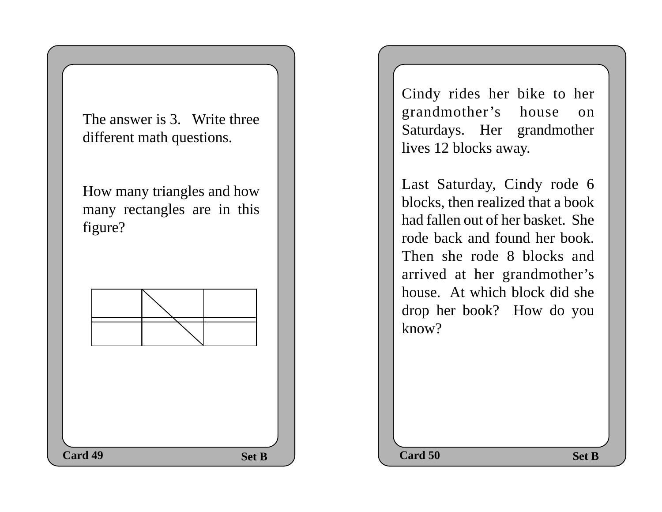The answer is 3. Write three different math questions.

How many triangles and how many rectangles are in this figure?



Cindy rides her bike to her grandmother's house on Saturdays. Her grandmother lives 12 blocks away.

Last Saturday, Cindy rode 6 blocks, then realized that a book had fallen out of her basket. She rode back and found her book. Then she rode 8 blocks and arrived at her grandmother's house. At which block did she drop her book? How do you know?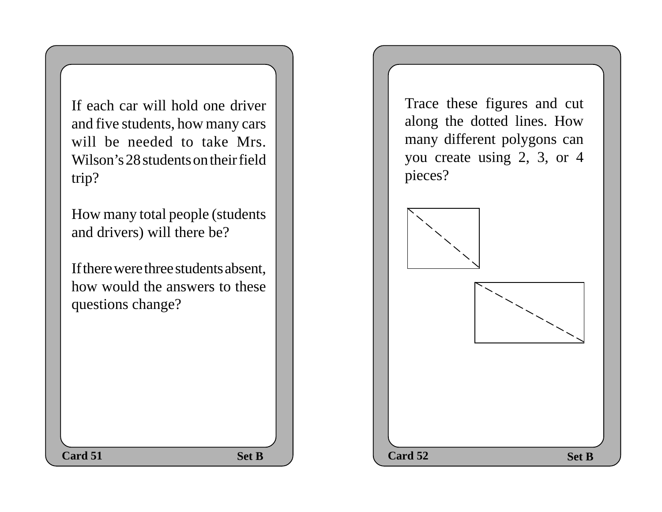If each car will hold one driver and five students, how many cars will be needed to take Mrs. Wilson's 28 students on their field trip?

How many total people (students and drivers) will there be?

If there were three students absent, how would the answers to these questions change?

Trace these figures and cut along the dotted lines. How many different polygons can you create using 2, 3, or 4 pieces?

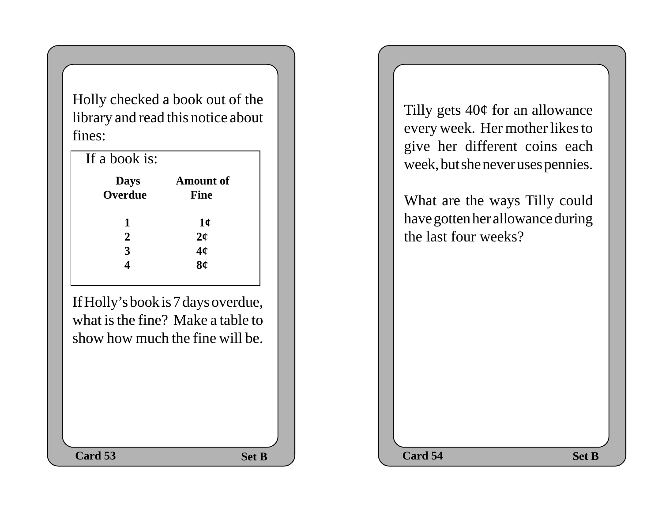Holly checked a book out of the library and read this notice about fines:

| If a book is:          |                                       |
|------------------------|---------------------------------------|
| <b>Days</b><br>Overdue | <b>Amount of</b><br><b>Fine</b>       |
| 1                      |                                       |
| $\overline{2}$         | $\frac{1}{\alpha}$ $\frac{2}{\alpha}$ |
| 3                      |                                       |
|                        | $\mathbf{s}_{\mathbf{\ell}}^{'}$      |

If Holly's book is 7 days overdue, what is the fine? Make a table to show how much the fine will be. Tilly gets 40¢ for an allowance every week. Her mother likes to give her different coins each week, but she never uses pennies.

What are the ways Tilly could have gotten her allowance during the last four weeks?

**Set B**  $\qquad$  **Card 54 Set B Card 53 Card 54 Card 54 Card 54**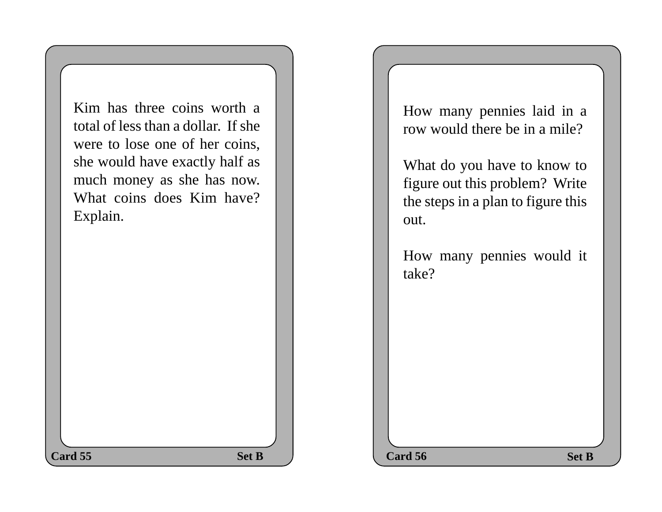Kim has three coins worth a total of less than a dollar. If she were to lose one of her coins, she would have exactly half as much money as she has now. What coins does Kim have? Explain.

How many pennies laid in a row would there be in a mile?

What do you have to know to figure out this problem? Write the steps in a plan to figure this out.

How many pennies would it take?

**Set B Set B Set B Card 55** Set B  $\qquad$  Card 56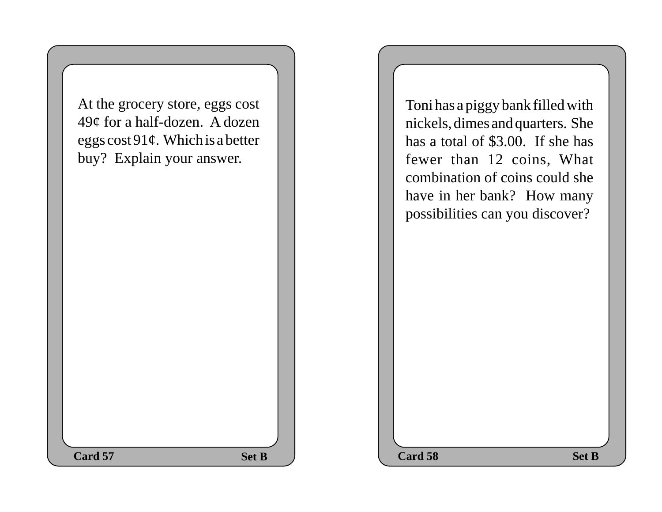At the grocery store, eggs cost 49¢ for a half-dozen. A dozen eggs cost  $91¢$ . Which is a better buy? Explain your answer.

Toni has a piggy bank filled with nickels, dimes and quarters. She has a total of \$3.00. If she has fewer than 12 coins, What combination of coins could she have in her bank? How many possibilities can you discover?

**Set B Set B Card 58** Set B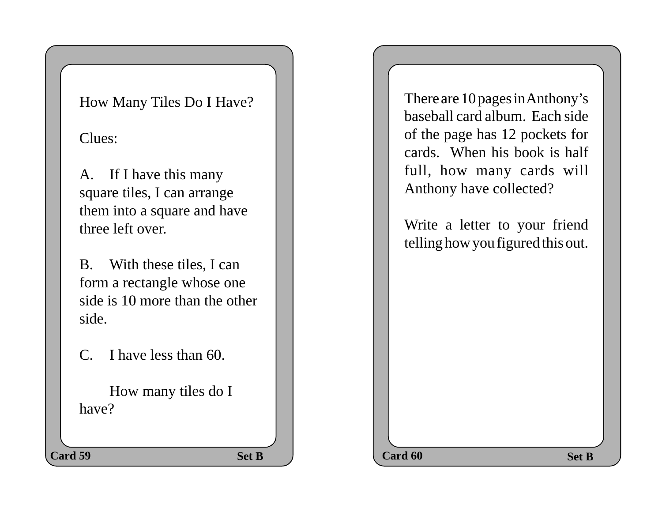## How Many Tiles Do I Have?

Clues:

A. If I have this many square tiles, I can arrange them into a square and have three left over.

B. With these tiles, I can form a rectangle whose one side is 10 more than the other side.

C. I have less than 60.

How many tiles do I have?

There are 10 pages in Anthony's baseball card album. Each side of the page has 12 pockets for cards. When his book is half full, how many cards will Anthony have collected?

Write a letter to your friend telling how you figured this out.

**Set B Set B Set B** 

**Card 59** Set B  $\bigcup$  Card 60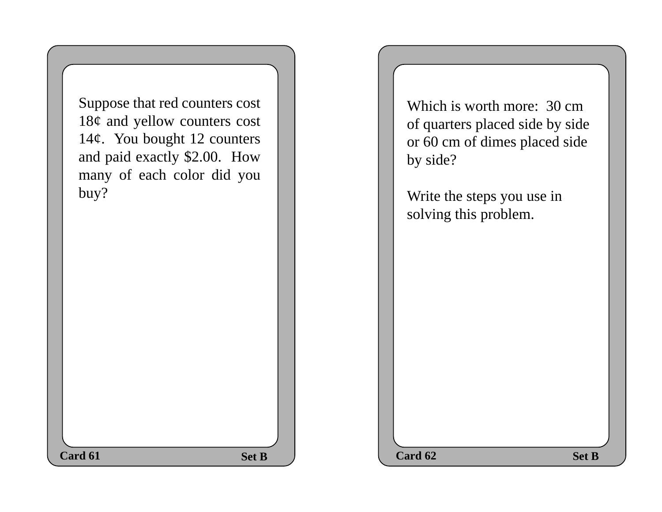Which is worth more: 30 cm of quarters placed side by side or 60 cm of dimes placed side by side?

Write the steps you use in solving this problem.

**Set B Set B**